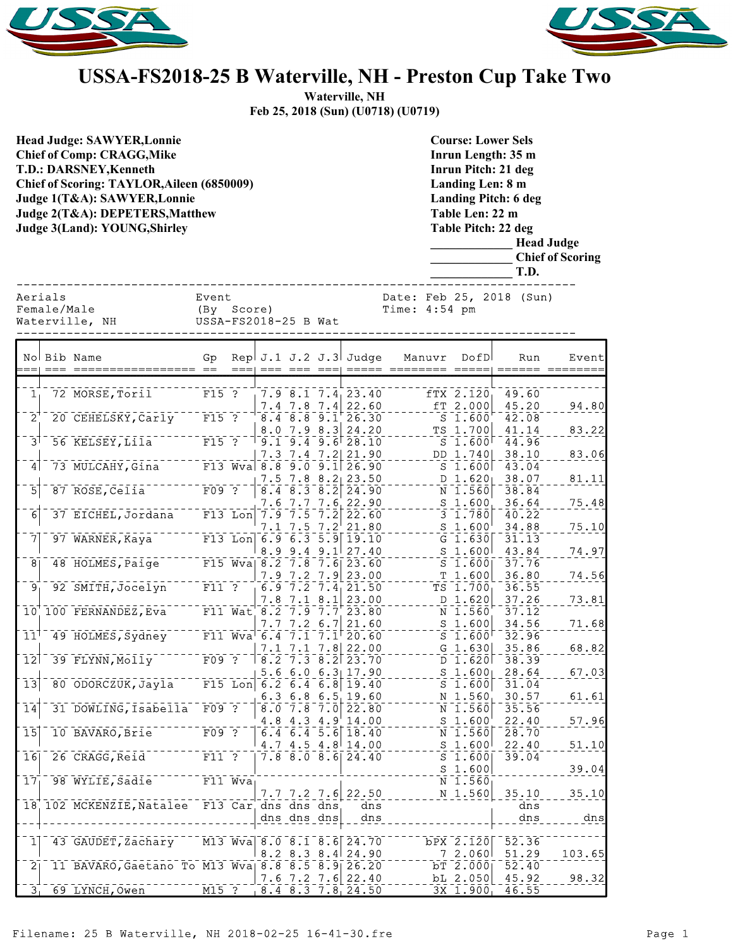



## **USSA-FS2018-25 B Waterville, NH - Preston Cup Take Two**

**Waterville, NH Feb 25, 2018 (Sun) (U0718) (U0719)**

| <b>Head Judge: SAWYER, Lonnie</b><br><b>Chief of Comp: CRAGG, Mike</b><br><b>T.D.: DARSNEY, Kenneth</b><br>Chief of Scoring: TAYLOR, Aileen (6850009)<br>Judge 1(T&A): SAWYER, Lonnie<br>Judge 2(T&A): DEPETERS, Matthew<br>Judge 3(Land): YOUNG, Shirley |                        |                                                             |                                             |           |  |                                                                                                     |  |                                                                                                             |                                             | <b>Course: Lower Sels</b><br>Inrun Length: 35 m<br>Inrun Pitch: 21 deg<br>Landing Len: 8 m<br><b>Landing Pitch: 6 deg</b><br>Table Len: 22 m<br>Table Pitch: 22 deg<br><b>Head Judge</b><br><b>Chief of Scoring</b><br>T.D. |                                                            |  |                |                         |  |
|-----------------------------------------------------------------------------------------------------------------------------------------------------------------------------------------------------------------------------------------------------------|------------------------|-------------------------------------------------------------|---------------------------------------------|-----------|--|-----------------------------------------------------------------------------------------------------|--|-------------------------------------------------------------------------------------------------------------|---------------------------------------------|-----------------------------------------------------------------------------------------------------------------------------------------------------------------------------------------------------------------------------|------------------------------------------------------------|--|----------------|-------------------------|--|
|                                                                                                                                                                                                                                                           | Aerials<br>Female/Male | Waterville, NH                                              | Event<br>(By Score)<br>USSA-FS2018-25 B Wat |           |  |                                                                                                     |  |                                                                                                             | Date: Feb 25, 2018 (Sun)<br>Time: $4:54$ pm |                                                                                                                                                                                                                             |                                                            |  |                |                         |  |
|                                                                                                                                                                                                                                                           |                        | No Bib Name                                                 | Gp                                          |           |  |                                                                                                     |  | Rep J.1 J.2 J.3 Judge                                                                                       |                                             | Manuvr                                                                                                                                                                                                                      | DofD                                                       |  | Run            | Event<br>====== ======= |  |
|                                                                                                                                                                                                                                                           |                        |                                                             |                                             |           |  |                                                                                                     |  |                                                                                                             |                                             |                                                                                                                                                                                                                             |                                                            |  |                |                         |  |
| $\mathbf{1}^-_1$                                                                                                                                                                                                                                          |                        | 72 MORSE, Toril                                             | $F = 5.75 + 2.75$                           |           |  | $7.4$ 7.8 7.4                                                                                       |  | $7.9$ $8.1$ $7.4$ $23.40$<br>22.60                                                                          |                                             |                                                                                                                                                                                                                             | $fTX$ 2.120<br>$[- - 57 2.000]$                            |  | 49.60<br>45.20 | 94.80                   |  |
| $\bar{2}$                                                                                                                                                                                                                                                 |                        | 20 CEHELSKY, Carly F15 ?                                    |                                             |           |  |                                                                                                     |  | $8.4$ $8.8$ $9.1$ $26.30$                                                                                   |                                             |                                                                                                                                                                                                                             | $S_1.600$                                                  |  | 42.08          |                         |  |
| $\bar{3}^{\dagger}$                                                                                                                                                                                                                                       |                        | 56 KELSEY, LIIa <sup>------</sup> F15 ?                     |                                             |           |  | $8.0$ 7.9 $8.3$                                                                                     |  | 24.20                                                                                                       |                                             |                                                                                                                                                                                                                             | $TS$ 1.700                                                 |  | 41.14          | 83.22                   |  |
|                                                                                                                                                                                                                                                           |                        |                                                             |                                             |           |  |                                                                                                     |  | $1^-9.1^-9.4^-9.6$ $28.10^-$<br>$7.3$ $7.4$ $7.2$ $21.90$                                                   |                                             |                                                                                                                                                                                                                             | $^{\circ}$ s $^{\circ}$ i. $\bar{\rm s}$ ool<br>$DD_1.740$ |  | 44.96<br>38.10 | 83.06                   |  |
| 4                                                                                                                                                                                                                                                         |                        | 73 MULCAHY, Gina F13 Wva 8.8 9.0 9.1 26.90                  |                                             |           |  |                                                                                                     |  |                                                                                                             |                                             |                                                                                                                                                                                                                             | $S_1.600$                                                  |  | 43.04          |                         |  |
|                                                                                                                                                                                                                                                           |                        | 87 ROSE, Celia F09 ?                                        |                                             |           |  | $7.5$ 7.8 8.2                                                                                       |  | 23.50                                                                                                       |                                             |                                                                                                                                                                                                                             | $      1.620$                                              |  | 38.07          | 81.11                   |  |
| $\overline{5}$                                                                                                                                                                                                                                            |                        |                                                             |                                             |           |  | $8.4$ $8.3$ $8.2$                                                                                   |  | 24.90<br>7.6 7.7 7.6 22.90                                                                                  |                                             |                                                                                                                                                                                                                             | N 1.560<br>$S$ 1.600                                       |  | 38.84<br>36.64 | 75.48                   |  |
| $\overline{6}$                                                                                                                                                                                                                                            |                        | 37 EICHEL, Jordana                                          |                                             | $F13$ Lon |  | $\left\lceil 7.\overline{9}\, \rceil\bar{7}.\overline{5}\, \rceil\bar{7}.\overline{2} \right\rceil$ |  | 22.60                                                                                                       |                                             |                                                                                                                                                                                                                             | <sup>-</sup> 3 1.78ō                                       |  | 40.22          |                         |  |
|                                                                                                                                                                                                                                                           |                        |                                                             |                                             |           |  |                                                                                                     |  | 7.1 7.5 7.2 21.80                                                                                           |                                             |                                                                                                                                                                                                                             | $S$ 1.600                                                  |  | 34.88          | 75.10                   |  |
| 7                                                                                                                                                                                                                                                         |                        | 97 WARNER, Kaya <sup>--</sup>                               |                                             |           |  |                                                                                                     |  | $\frac{1}{2}$ F13 Lon 6.9 6.3 5.9 19.10                                                                     |                                             |                                                                                                                                                                                                                             | $G$ 1.630                                                  |  | 31.13          |                         |  |
| $\overline{8}$                                                                                                                                                                                                                                            |                        | 48 HOLMES, Paige F15 Wva  8.2 7.8 7.6 23.60                 |                                             |           |  |                                                                                                     |  | $8.9$ 9.4 9.1 27.40                                                                                         |                                             |                                                                                                                                                                                                                             | $S$ 1.600<br>$S$ 1.600                                     |  | 43.84<br>37.76 | 74.97                   |  |
|                                                                                                                                                                                                                                                           |                        |                                                             |                                             |           |  | $7.9$ $7.2$ $7.9$                                                                                   |  | 23.00                                                                                                       |                                             |                                                                                                                                                                                                                             | T 1.600                                                    |  | 36.80          | 74.56                   |  |
| $\bar{9}_1$                                                                                                                                                                                                                                               |                        | 92 SMITH, Jocelyn                                           | $\overline{F11}$ ?                          |           |  | $\overline{6.9}$ $\overline{7.2}$ $\overline{7.4}$                                                  |  | 21.50                                                                                                       |                                             |                                                                                                                                                                                                                             | $TS$ 1.700                                                 |  | 36.55          |                         |  |
|                                                                                                                                                                                                                                                           |                        | 10 100 FERNANDEZ, Eva <sup>-----</sup> F11 Wat, 8.2 7.1 8.1 |                                             |           |  |                                                                                                     |  | 23.00<br>23.80                                                                                              |                                             |                                                                                                                                                                                                                             | D 1.620<br>N 1.560                                         |  | 37.26<br>37.12 | 73.81                   |  |
|                                                                                                                                                                                                                                                           |                        |                                                             |                                             |           |  | $7.7$ 7.2 6.7                                                                                       |  | 21.60                                                                                                       |                                             |                                                                                                                                                                                                                             | $S$ 1.600                                                  |  | 34.56          | 71.68                   |  |
| 11 <sup>1</sup>                                                                                                                                                                                                                                           |                        | 49 HOLMES, Sydney                                           |                                             |           |  |                                                                                                     |  | F11 Wva 6.4 7.1 7.1 20.60                                                                                   |                                             |                                                                                                                                                                                                                             | $S$ 1.600 $^{\circ}$                                       |  | 32.96          |                         |  |
| $\overline{12}$                                                                                                                                                                                                                                           |                        | 39 FLYNN, Molly                                             |                                             |           |  |                                                                                                     |  | $\frac{7.1}{109} \cdot \frac{7.1}{2} \cdot \frac{7.1}{7.3} \cdot \frac{7.8}{8.2} \cdot \frac{22.00}{23.70}$ |                                             |                                                                                                                                                                                                                             | $G$ 1.630<br>D 1.620                                       |  | 35.86<br>38.39 | 68.82                   |  |
|                                                                                                                                                                                                                                                           |                        |                                                             |                                             |           |  |                                                                                                     |  | 5.6 6.0 6.3 17.90                                                                                           |                                             |                                                                                                                                                                                                                             | S 1.600                                                    |  | 28.64          | 67.03                   |  |
| 13                                                                                                                                                                                                                                                        |                        | 80 ODORCZUK, Jayla F15 Lon 6.2 6.4 6.8 19.40                |                                             |           |  |                                                                                                     |  |                                                                                                             |                                             |                                                                                                                                                                                                                             | $S$ 1.600                                                  |  | 31.04          |                         |  |
|                                                                                                                                                                                                                                                           |                        | 31 DOWLING, Isabella F09 ?                                  |                                             |           |  |                                                                                                     |  | $6.3$ $6.8$ $6.5$ 19.60                                                                                     |                                             |                                                                                                                                                                                                                             | N 1.560                                                    |  | 30.57          | 61.61                   |  |
| 14                                                                                                                                                                                                                                                        |                        |                                                             |                                             |           |  | $8.0$ 7.8 7.0<br>$4.8$ 4.3 4.9                                                                      |  | 22.80<br>14.00                                                                                              |                                             |                                                                                                                                                                                                                             | N 1.560<br>S <sub>1.600</sub>                              |  | 35.56<br>22.40 | 57.96                   |  |
| $\overline{15}$                                                                                                                                                                                                                                           |                        | 10 BAVARO, Brie                                             |                                             |           |  |                                                                                                     |  | $6.4\overline{6.4\overline{5.6}}\overline{18.40}$                                                           |                                             |                                                                                                                                                                                                                             | $N$ 1.560                                                  |  | 28.70          |                         |  |
|                                                                                                                                                                                                                                                           |                        |                                                             |                                             |           |  |                                                                                                     |  | $4.7$ $4.5$ $4.8$ 14.00                                                                                     |                                             |                                                                                                                                                                                                                             | $S$ 1.600                                                  |  | 22.40          | 51.10                   |  |
| 16                                                                                                                                                                                                                                                        |                        | 26 CRAGG, Reid                                              | $F11$ ?                                     |           |  |                                                                                                     |  | $7.8$ 8.0 8.6 24.40                                                                                         |                                             |                                                                                                                                                                                                                             | $S$ 1.600<br>$S$ 1.600                                     |  | 39.04          | 39.04                   |  |
| $17_1$                                                                                                                                                                                                                                                    |                        | 98 WYLIE, Sadie                                             |                                             | $F11$ Wva |  |                                                                                                     |  |                                                                                                             |                                             |                                                                                                                                                                                                                             | N 1.560                                                    |  |                |                         |  |
|                                                                                                                                                                                                                                                           |                        |                                                             |                                             |           |  |                                                                                                     |  | $7.7$ $7.2$ $7.6$ 22.50                                                                                     |                                             |                                                                                                                                                                                                                             | N 1.560                                                    |  | 35.10          | 35.10                   |  |
|                                                                                                                                                                                                                                                           |                        | 18 102 MCKENZIE, Natalee F13 Car dns dns dns                |                                             |           |  |                                                                                                     |  | dns                                                                                                         |                                             |                                                                                                                                                                                                                             |                                                            |  | dns<br>dns     |                         |  |
|                                                                                                                                                                                                                                                           |                        |                                                             |                                             |           |  | dns dns dns                                                                                         |  | dns                                                                                                         |                                             |                                                                                                                                                                                                                             |                                                            |  |                | dns                     |  |
| $1\vert$                                                                                                                                                                                                                                                  |                        | 43 GAUDET, Zachary M13 Wva 8.0 8.1 8.6 24.70                |                                             |           |  |                                                                                                     |  |                                                                                                             |                                             |                                                                                                                                                                                                                             | bPX 2.120                                                  |  | 52.36          |                         |  |
|                                                                                                                                                                                                                                                           |                        |                                                             |                                             |           |  |                                                                                                     |  | $8.2$ $8.3$ $8.4$ $24.90$                                                                                   |                                             |                                                                                                                                                                                                                             | 72.060                                                     |  | 51.29          | 103.65                  |  |
| $\overline{2}$                                                                                                                                                                                                                                            |                        | 11 BAVARO, Gaetano To M13 Wva 8.8 8.5 8.9 26.20             |                                             |           |  |                                                                                                     |  | $7.6$ $7.2$ $7.6$ 22.40                                                                                     |                                             |                                                                                                                                                                                                                             | bT 2.000<br>bL 2.050                                       |  | 52.40<br>45.92 | 98.32                   |  |
| $\overline{3}$                                                                                                                                                                                                                                            |                        | 69 LYNCH, Owen                                              | $M15$ ?                                     |           |  |                                                                                                     |  | $18.4$ 8.3 7.8 24.50                                                                                        |                                             |                                                                                                                                                                                                                             | $3X$ 1.900                                                 |  | 46.55          |                         |  |